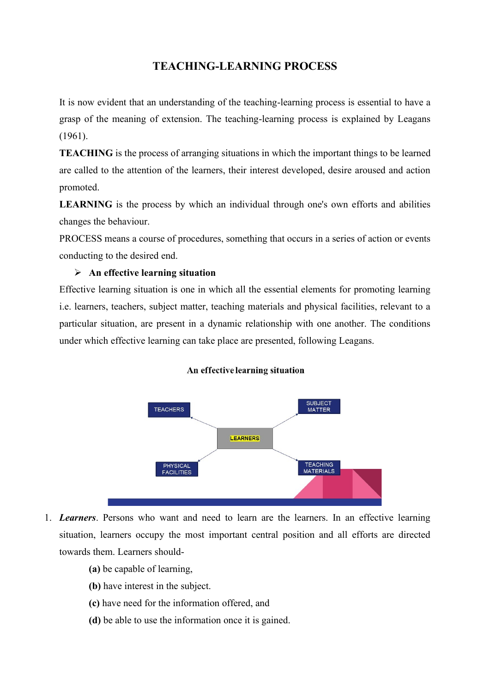# **TEACHING-LEARNING PROCESS**

It is now evident that an understanding of the teaching-learning process is essential to have a grasp of the meaning of extension. The teaching-learning process is explained by Leagans (1961).

**TEACHING** is the process of arranging situations in which the important things to be learned are called to the attention of the learners, their interest developed, desire aroused and action promoted.

**LEARNING** is the process by which an individual through one's own efforts and abilities changes the behaviour.

PROCESS means a course of procedures, something that occurs in a series of action or events conducting to the desired end.

### ➢ **An effective learning situation**

Effective learning situation is one in which all the essential elements for promoting learning i.e. learners, teachers, subject matter, teaching materials and physical facilities, relevant to a particular situation, are present in a dynamic relationship with one another. The conditions under which effective learning can take place are presented, following Leagans.





1. *Learners*. Persons who want and need to learn are the learners. In an effective learning situation, learners occupy the most important central position and all efforts are directed towards them. Learners should-

- **(a)** be capable of learning,
- **(b)** have interest in the subject.
- **(c)** have need for the information offered, and
- **(d)** be able to use the information once it is gained.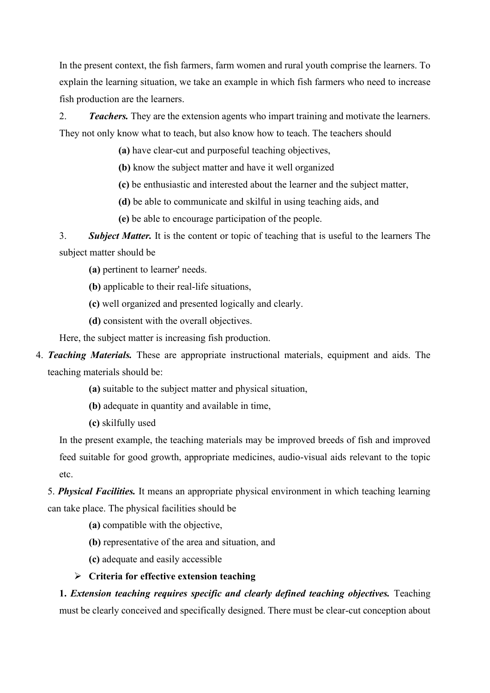In the present context, the fish farmers, farm women and rural youth comprise the learners. To explain the learning situation, we take an example in which fish farmers who need to increase fish production are the learners.

2. *Teachers.* They are the extension agents who impart training and motivate the learners. They not only know what to teach, but also know how to teach. The teachers should

**(a)** have clear-cut and purposeful teaching objectives,

**(b)** know the subject matter and have it well organized

**(c)** be enthusiastic and interested about the learner and the subject matter,

**(d)** be able to communicate and skilful in using teaching aids, and

**(e)** be able to encourage participation of the people.

3. *Subject Matter.* It is the content or topic of teaching that is useful to the learners The subject matter should be

**(a)** pertinent to learner' needs.

**(b)** applicable to their real-life situations,

**(c)** well organized and presented logically and clearly.

**(d)** consistent with the overall objectives.

Here, the subject matter is increasing fish production.

4. *Teaching Materials.* These are appropriate instructional materials, equipment and aids. The teaching materials should be:

**(a)** suitable to the subject matter and physical situation,

**(b)** adequate in quantity and available in time,

**(c)** skilfully used

In the present example, the teaching materials may be improved breeds of fish and improved feed suitable for good growth, appropriate medicines, audio-visual aids relevant to the topic etc.

5. *Physical Facilities.* It means an appropriate physical environment in which teaching learning can take place. The physical facilities should be

**(a)** compatible with the objective,

**(b)** representative of the area and situation, and

**(c)** adequate and easily accessible

➢ **Criteria for effective extension teaching**

**1.** *Extension teaching requires specific and clearly defined teaching objectives.* Teaching must be clearly conceived and specifically designed. There must be clear-cut conception about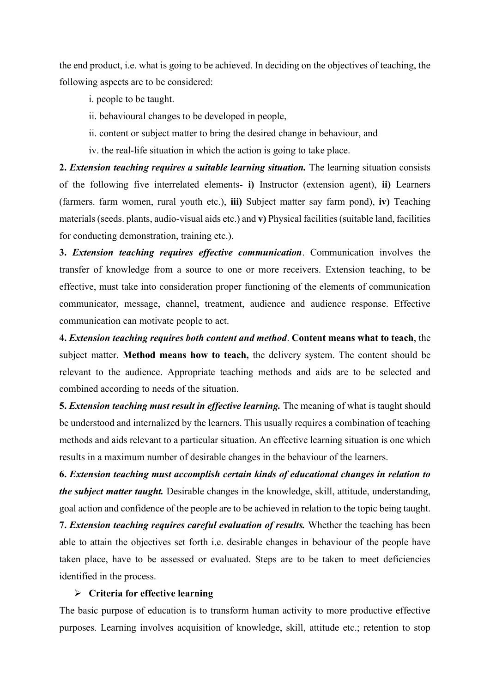the end product, i.e. what is going to be achieved. In deciding on the objectives of teaching, the following aspects are to be considered:

i. people to be taught.

ii. behavioural changes to be developed in people,

ii. content or subject matter to bring the desired change in behaviour, and

iv. the real-life situation in which the action is going to take place.

**2.** *Extension teaching requires a suitable learning situation.* The learning situation consists of the following five interrelated elements- **i)** Instructor (extension agent), **ii)** Learners (farmers. farm women, rural youth etc.), **iii)** Subject matter say farm pond), **iv)** Teaching materials (seeds. plants, audio-visual aids etc.) and **v)** Physical facilities (suitable land, facilities for conducting demonstration, training etc.).

**3.** *Extension teaching requires effective communication*. Communication involves the transfer of knowledge from a source to one or more receivers. Extension teaching, to be effective, must take into consideration proper functioning of the elements of communication communicator, message, channel, treatment, audience and audience response. Effective communication can motivate people to act.

**4.** *Extension teaching requires both content and method*. **Content means what to teach**, the subject matter. **Method means how to teach,** the delivery system. The content should be relevant to the audience. Appropriate teaching methods and aids are to be selected and combined according to needs of the situation.

**5.** *Extension teaching must result in effective learning.* The meaning of what is taught should be understood and internalized by the learners. This usually requires a combination of teaching methods and aids relevant to a particular situation. An effective learning situation is one which results in a maximum number of desirable changes in the behaviour of the learners.

**6.** *Extension teaching must accomplish certain kinds of educational changes in relation to the subject matter taught.* Desirable changes in the knowledge, skill, attitude, understanding, goal action and confidence of the people are to be achieved in relation to the topic being taught.

**7.** *Extension teaching requires careful evaluation of results.* Whether the teaching has been able to attain the objectives set forth i.e. desirable changes in behaviour of the people have taken place, have to be assessed or evaluated. Steps are to be taken to meet deficiencies identified in the process.

#### ➢ **Criteria for effective learning**

The basic purpose of education is to transform human activity to more productive effective purposes. Learning involves acquisition of knowledge, skill, attitude etc.; retention to stop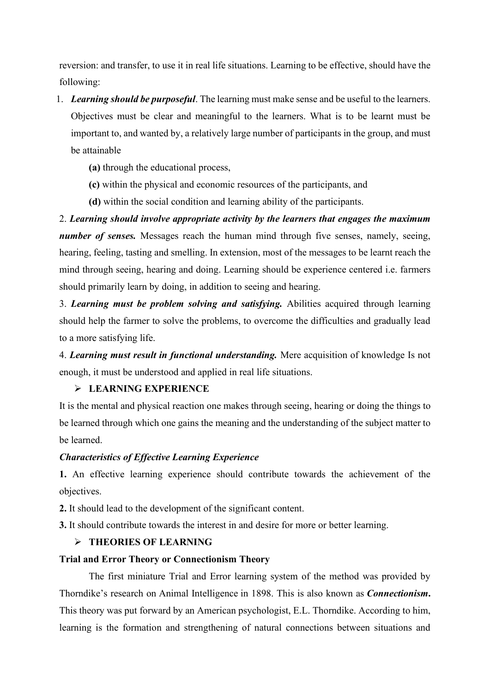reversion: and transfer, to use it in real life situations. Learning to be effective, should have the following:

- 1. *Learning should be purposeful*. The learning must make sense and be useful to the learners. Objectives must be clear and meaningful to the learners. What is to be learnt must be important to, and wanted by, a relatively large number of participants in the group, and must be attainable
	- **(a)** through the educational process,
	- **(c)** within the physical and economic resources of the participants, and
	- **(d)** within the social condition and learning ability of the participants.

2. *Learning should involve appropriate activity by the learners that engages the maximum number of senses.* Messages reach the human mind through five senses, namely, seeing, hearing, feeling, tasting and smelling. In extension, most of the messages to be learnt reach the mind through seeing, hearing and doing. Learning should be experience centered i.e. farmers should primarily learn by doing, in addition to seeing and hearing.

3. *Learning must be problem solving and satisfying.* Abilities acquired through learning should help the farmer to solve the problems, to overcome the difficulties and gradually lead to a more satisfying life.

4. *Learning must result in functional understanding.* Mere acquisition of knowledge Is not enough, it must be understood and applied in real life situations.

# ➢ **LEARNING EXPERIENCE**

It is the mental and physical reaction one makes through seeing, hearing or doing the things to be learned through which one gains the meaning and the understanding of the subject matter to be learned.

# *Characteristics of Effective Learning Experience*

**1.** An effective learning experience should contribute towards the achievement of the objectives.

**2.** It should lead to the development of the significant content.

**3.** It should contribute towards the interest in and desire for more or better learning.

# ➢ **THEORIES OF LEARNING**

#### **Trial and Error Theory or Connectionism Theory**

The first miniature Trial and Error learning system of the method was provided by Thorndike's research on Animal Intelligence in 1898. This is also known as *Connectionism***.** This theory was put forward by an American psychologist, E.L. Thorndike. According to him, learning is the formation and strengthening of natural connections between situations and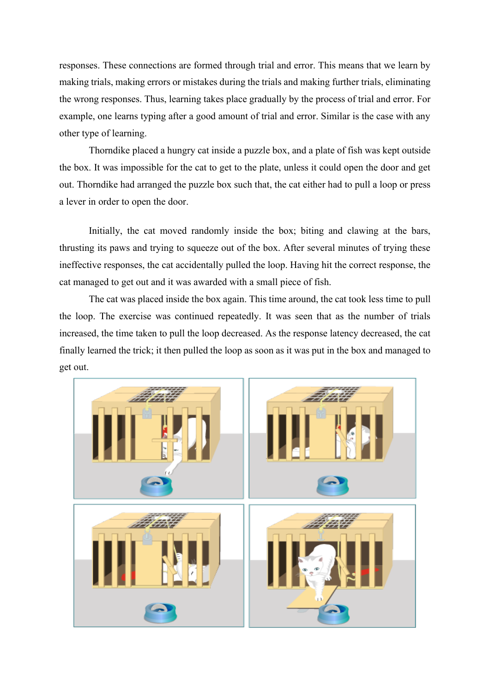responses. These connections are formed through trial and error. This means that we learn by making trials, making errors or mistakes during the trials and making further trials, eliminating the wrong responses. Thus, learning takes place gradually by the process of trial and error. For example, one learns typing after a good amount of trial and error. Similar is the case with any other type of learning.

Thorndike placed a hungry cat inside a puzzle box, and a plate of fish was kept outside the box. It was impossible for the cat to get to the plate, unless it could open the door and get out. Thorndike had arranged the puzzle box such that, the cat either had to pull a loop or press a lever in order to open the door.

Initially, the cat moved randomly inside the box; biting and clawing at the bars, thrusting its paws and trying to squeeze out of the box. After several minutes of trying these ineffective responses, the cat accidentally pulled the loop. Having hit the correct response, the cat managed to get out and it was awarded with a small piece of fish.

The cat was placed inside the box again. This time around, the cat took less time to pull the loop. The exercise was continued repeatedly. It was seen that as the number of trials increased, the time taken to pull the loop decreased. As the response latency decreased, the cat finally learned the trick; it then pulled the loop as soon as it was put in the box and managed to get out.

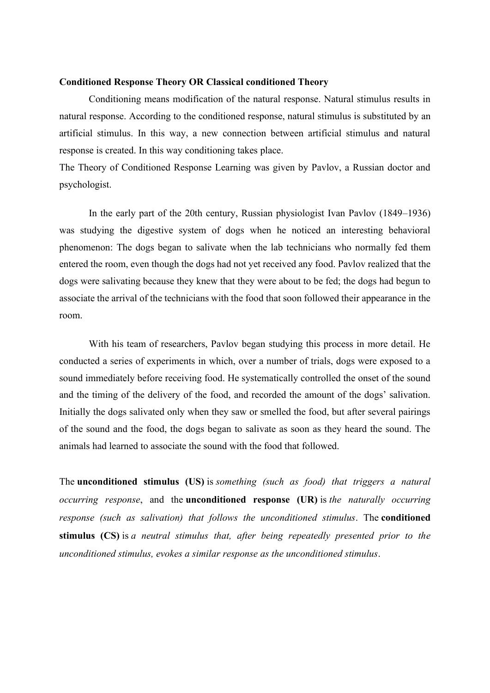#### **Conditioned Response Theory OR Classical conditioned Theory**

Conditioning means modification of the natural response. Natural stimulus results in natural response. According to the conditioned response, natural stimulus is substituted by an artificial stimulus. In this way, a new connection between artificial stimulus and natural response is created. In this way conditioning takes place.

The Theory of Conditioned Response Learning was given by Pavlov, a Russian doctor and psychologist.

In the early part of the 20th century, Russian physiologist Ivan Pavlov (1849–1936) was studying the digestive system of dogs when he noticed an interesting behavioral phenomenon: The dogs began to salivate when the lab technicians who normally fed them entered the room, even though the dogs had not yet received any food. Pavlov realized that the dogs were salivating because they knew that they were about to be fed; the dogs had begun to associate the arrival of the technicians with the food that soon followed their appearance in the room.

With his team of researchers, Pavlov began studying this process in more detail. He conducted a series of experiments in which, over a number of trials, dogs were exposed to a sound immediately before receiving food. He systematically controlled the onset of the sound and the timing of the delivery of the food, and recorded the amount of the dogs' salivation. Initially the dogs salivated only when they saw or smelled the food, but after several pairings of the sound and the food, the dogs began to salivate as soon as they heard the sound. The animals had learned to associate the sound with the food that followed.

The **unconditioned stimulus (US)** is *something (such as food) that triggers a natural occurring response*, and the **unconditioned response (UR)** is *the naturally occurring response (such as salivation) that follows the unconditioned stimulus*. The **conditioned stimulus (CS)** is *a neutral stimulus that, after being repeatedly presented prior to the unconditioned stimulus, evokes a similar response as the unconditioned stimulus*.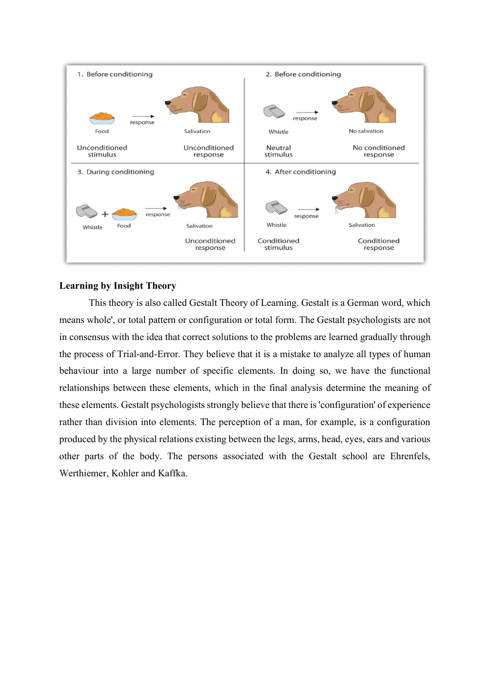

### **Learning by Insight Theory**

This theory is also called Gestalt Theory of Learning. Gestalt is a German word, which means whole', or total pattern or configuration or total form. The Gestalt psychologists are not in consensus with the idea that correct solutions to the problems are learned gradually through the process of Trial-and-Error. They believe that it is a mistake to analyze all types of human behaviour into a large number of specific elements. In doing so, we have the functional relationships between these elements, which in the final analysis determine the meaning of these elements. Gestalt psychologists strongly believe that there is 'configuration' of experience rather than division into elements. The perception of a man, for example, is a configuration produced by the physical relations existing between the legs, arms, head, eyes, ears and various other parts of the body. The persons associated with the Gestalt school are Ehrenfels, Werthiemer, Kohler and Kaffka.